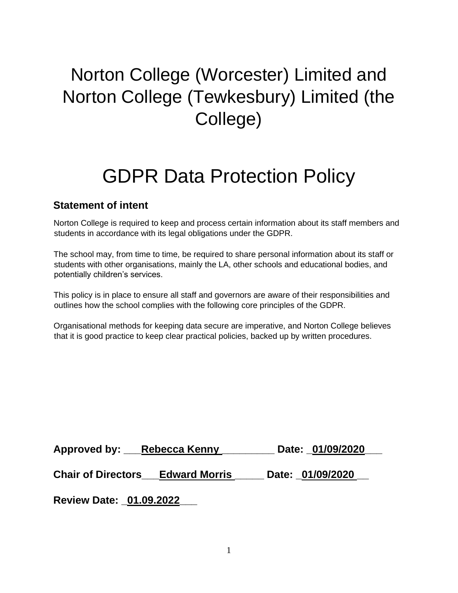# Norton College (Worcester) Limited and Norton College (Tewkesbury) Limited (the College)

## GDPR Data Protection Policy

## **Statement of intent**

Norton College is required to keep and process certain information about its staff members and students in accordance with its legal obligations under the GDPR.

The school may, from time to time, be required to share personal information about its staff or students with other organisations, mainly the LA, other schools and educational bodies, and potentially children's services.

This policy is in place to ensure all staff and governors are aware of their responsibilities and outlines how the school complies with the following core principles of the GDPR.

Organisational methods for keeping data secure are imperative, and Norton College believes that it is good practice to keep clear practical policies, backed up by written procedures.

| Approved by: Rebecca Kenny              |  | Date: 01/09/2020 |
|-----------------------------------------|--|------------------|
| <b>Chair of Directors Edward Morris</b> |  | Date: 01/09/2020 |
| <b>Review Date: 01.09.2022</b>          |  |                  |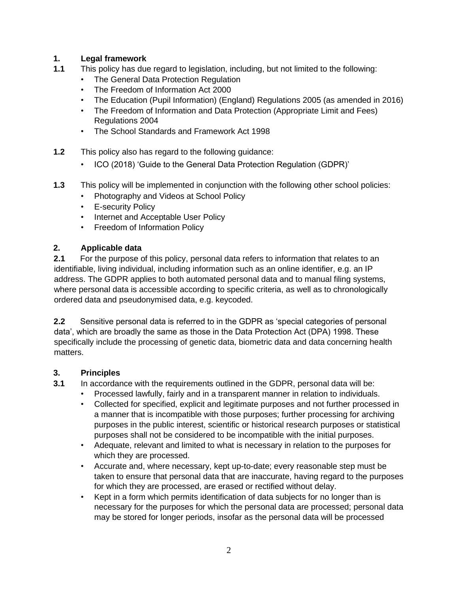## **1. Legal framework**

- **1.1** This policy has due regard to legislation, including, but not limited to the following:
	- The General Data Protection Regulation
	- The Freedom of Information Act 2000
	- The Education (Pupil Information) (England) Regulations 2005 (as amended in 2016)
	- The Freedom of Information and Data Protection (Appropriate Limit and Fees) Regulations 2004
	- The School Standards and Framework Act 1998
- **1.2** This policy also has regard to the following guidance:
	- ICO (2018) 'Guide to the General Data Protection Regulation (GDPR)'
- **1.3** This policy will be implemented in conjunction with the following other school policies:
	- Photography and Videos at School Policy
	- E-security Policy
	- Internet and Acceptable User Policy
	- Freedom of Information Policy

#### **2. Applicable data**

**2.1** For the purpose of this policy, personal data refers to information that relates to an identifiable, living individual, including information such as an online identifier, e.g. an IP address. The GDPR applies to both automated personal data and to manual filing systems, where personal data is accessible according to specific criteria, as well as to chronologically ordered data and pseudonymised data, e.g. keycoded.

**2.2** Sensitive personal data is referred to in the GDPR as 'special categories of personal data', which are broadly the same as those in the Data Protection Act (DPA) 1998. These specifically include the processing of genetic data, biometric data and data concerning health matters.

## **3. Principles**

**3.1** In accordance with the requirements outlined in the GDPR, personal data will be:

- Processed lawfully, fairly and in a transparent manner in relation to individuals.
- Collected for specified, explicit and legitimate purposes and not further processed in a manner that is incompatible with those purposes; further processing for archiving purposes in the public interest, scientific or historical research purposes or statistical purposes shall not be considered to be incompatible with the initial purposes.
- Adequate, relevant and limited to what is necessary in relation to the purposes for which they are processed.
- Accurate and, where necessary, kept up-to-date; every reasonable step must be taken to ensure that personal data that are inaccurate, having regard to the purposes for which they are processed, are erased or rectified without delay.
- Kept in a form which permits identification of data subjects for no longer than is necessary for the purposes for which the personal data are processed; personal data may be stored for longer periods, insofar as the personal data will be processed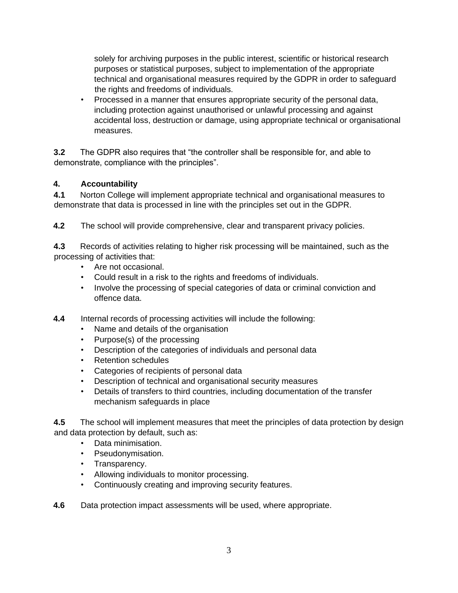solely for archiving purposes in the public interest, scientific or historical research purposes or statistical purposes, subject to implementation of the appropriate technical and organisational measures required by the GDPR in order to safeguard the rights and freedoms of individuals.

• Processed in a manner that ensures appropriate security of the personal data, including protection against unauthorised or unlawful processing and against accidental loss, destruction or damage, using appropriate technical or organisational measures.

**3.2** The GDPR also requires that "the controller shall be responsible for, and able to demonstrate, compliance with the principles".

## **4. Accountability**

**4.1** Norton College will implement appropriate technical and organisational measures to demonstrate that data is processed in line with the principles set out in the GDPR.

**4.2** The school will provide comprehensive, clear and transparent privacy policies.

**4.3** Records of activities relating to higher risk processing will be maintained, such as the processing of activities that:

- Are not occasional.
- Could result in a risk to the rights and freedoms of individuals.
- Involve the processing of special categories of data or criminal conviction and offence data.
- **4.4** Internal records of processing activities will include the following:
	- Name and details of the organisation
	- Purpose(s) of the processing
	- Description of the categories of individuals and personal data
	- Retention schedules
	- Categories of recipients of personal data
	- Description of technical and organisational security measures
	- Details of transfers to third countries, including documentation of the transfer mechanism safeguards in place

**4.5** The school will implement measures that meet the principles of data protection by design and data protection by default, such as:

- Data minimisation.
- Pseudonymisation.
- Transparency.
- Allowing individuals to monitor processing.
- Continuously creating and improving security features.
- **4.6** Data protection impact assessments will be used, where appropriate.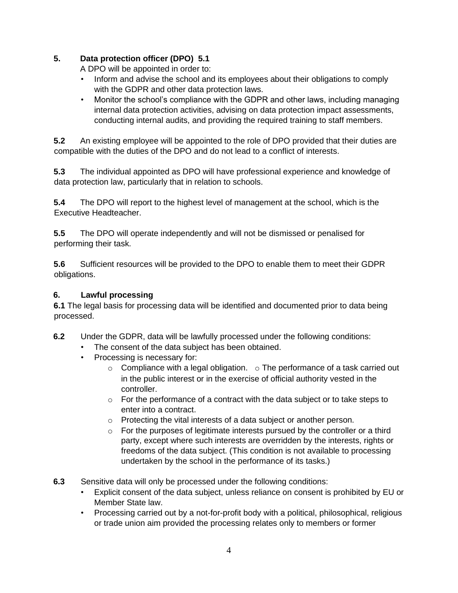## **5. Data protection officer (DPO) 5.1**

A DPO will be appointed in order to:

- Inform and advise the school and its employees about their obligations to comply with the GDPR and other data protection laws.
- Monitor the school's compliance with the GDPR and other laws, including managing internal data protection activities, advising on data protection impact assessments, conducting internal audits, and providing the required training to staff members.

**5.2** An existing employee will be appointed to the role of DPO provided that their duties are compatible with the duties of the DPO and do not lead to a conflict of interests.

**5.3** The individual appointed as DPO will have professional experience and knowledge of data protection law, particularly that in relation to schools.

**5.4** The DPO will report to the highest level of management at the school, which is the Executive Headteacher.

**5.5** The DPO will operate independently and will not be dismissed or penalised for performing their task.

**5.6** Sufficient resources will be provided to the DPO to enable them to meet their GDPR obligations.

## **6. Lawful processing**

**6.1** The legal basis for processing data will be identified and documented prior to data being processed.

- **6.2** Under the GDPR, data will be lawfully processed under the following conditions:
	- The consent of the data subject has been obtained.
	- Processing is necessary for:
		- $\circ$  Compliance with a legal obligation.  $\circ$  The performance of a task carried out in the public interest or in the exercise of official authority vested in the controller.
		- $\circ$  For the performance of a contract with the data subject or to take steps to enter into a contract.
		- o Protecting the vital interests of a data subject or another person.
		- $\circ$  For the purposes of legitimate interests pursued by the controller or a third party, except where such interests are overridden by the interests, rights or freedoms of the data subject. (This condition is not available to processing undertaken by the school in the performance of its tasks.)
- **6.3** Sensitive data will only be processed under the following conditions:
	- Explicit consent of the data subject, unless reliance on consent is prohibited by EU or Member State law.
	- Processing carried out by a not-for-profit body with a political, philosophical, religious or trade union aim provided the processing relates only to members or former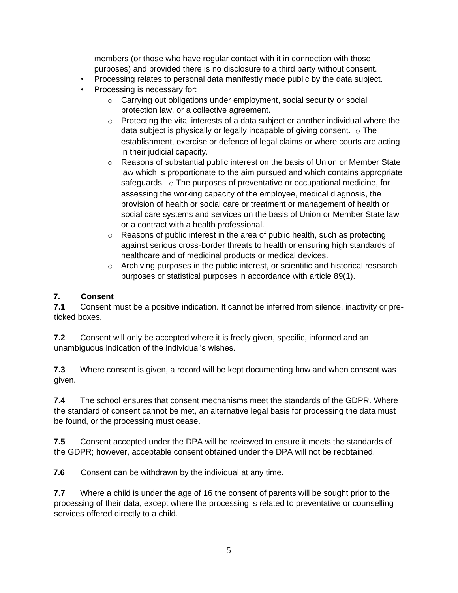members (or those who have regular contact with it in connection with those purposes) and provided there is no disclosure to a third party without consent.

- Processing relates to personal data manifestly made public by the data subject.
- Processing is necessary for:
	- o Carrying out obligations under employment, social security or social protection law, or a collective agreement.
	- $\circ$  Protecting the vital interests of a data subject or another individual where the data subject is physically or legally incapable of giving consent.  $\circ$  The establishment, exercise or defence of legal claims or where courts are acting in their judicial capacity.
	- o Reasons of substantial public interest on the basis of Union or Member State law which is proportionate to the aim pursued and which contains appropriate safeguards. o The purposes of preventative or occupational medicine, for assessing the working capacity of the employee, medical diagnosis, the provision of health or social care or treatment or management of health or social care systems and services on the basis of Union or Member State law or a contract with a health professional.
	- o Reasons of public interest in the area of public health, such as protecting against serious cross-border threats to health or ensuring high standards of healthcare and of medicinal products or medical devices.
	- $\circ$  Archiving purposes in the public interest, or scientific and historical research purposes or statistical purposes in accordance with article 89(1).

## **7. Consent**

**7.1** Consent must be a positive indication. It cannot be inferred from silence, inactivity or preticked boxes.

**7.2** Consent will only be accepted where it is freely given, specific, informed and an unambiguous indication of the individual's wishes.

**7.3** Where consent is given, a record will be kept documenting how and when consent was given.

**7.4** The school ensures that consent mechanisms meet the standards of the GDPR. Where the standard of consent cannot be met, an alternative legal basis for processing the data must be found, or the processing must cease.

**7.5** Consent accepted under the DPA will be reviewed to ensure it meets the standards of the GDPR; however, acceptable consent obtained under the DPA will not be reobtained.

**7.6** Consent can be withdrawn by the individual at any time.

**7.7** Where a child is under the age of 16 the consent of parents will be sought prior to the processing of their data, except where the processing is related to preventative or counselling services offered directly to a child.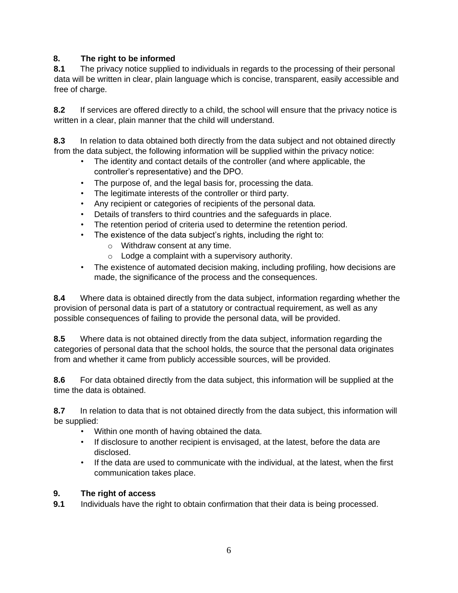## **8. The right to be informed**

**8.1** The privacy notice supplied to individuals in regards to the processing of their personal data will be written in clear, plain language which is concise, transparent, easily accessible and free of charge.

**8.2** If services are offered directly to a child, the school will ensure that the privacy notice is written in a clear, plain manner that the child will understand.

**8.3** In relation to data obtained both directly from the data subject and not obtained directly from the data subject, the following information will be supplied within the privacy notice:

- The identity and contact details of the controller (and where applicable, the controller's representative) and the DPO.
- The purpose of, and the legal basis for, processing the data.
- The legitimate interests of the controller or third party.
- Any recipient or categories of recipients of the personal data.
- Details of transfers to third countries and the safeguards in place.
- The retention period of criteria used to determine the retention period.
- The existence of the data subject's rights, including the right to:
	- o Withdraw consent at any time.
	- $\circ$  Lodge a complaint with a supervisory authority.
- The existence of automated decision making, including profiling, how decisions are made, the significance of the process and the consequences.

**8.4** Where data is obtained directly from the data subject, information regarding whether the provision of personal data is part of a statutory or contractual requirement, as well as any possible consequences of failing to provide the personal data, will be provided.

**8.5** Where data is not obtained directly from the data subject, information regarding the categories of personal data that the school holds, the source that the personal data originates from and whether it came from publicly accessible sources, will be provided.

**8.6** For data obtained directly from the data subject, this information will be supplied at the time the data is obtained.

**8.7** In relation to data that is not obtained directly from the data subject, this information will be supplied:

- Within one month of having obtained the data.
- If disclosure to another recipient is envisaged, at the latest, before the data are disclosed.
- If the data are used to communicate with the individual, at the latest, when the first communication takes place.

#### **9. The right of access**

**9.1** Individuals have the right to obtain confirmation that their data is being processed.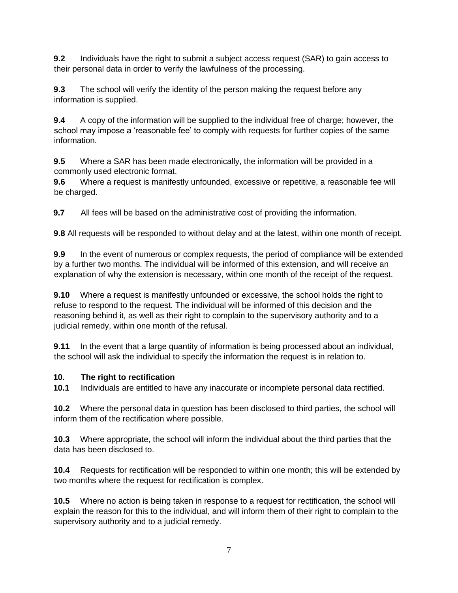**9.2** Individuals have the right to submit a subject access request (SAR) to gain access to their personal data in order to verify the lawfulness of the processing.

**9.3** The school will verify the identity of the person making the request before any information is supplied.

**9.4** A copy of the information will be supplied to the individual free of charge; however, the school may impose a 'reasonable fee' to comply with requests for further copies of the same information.

**9.5** Where a SAR has been made electronically, the information will be provided in a commonly used electronic format.

**9.6** Where a request is manifestly unfounded, excessive or repetitive, a reasonable fee will be charged.

**9.7** All fees will be based on the administrative cost of providing the information.

**9.8** All requests will be responded to without delay and at the latest, within one month of receipt.

**9.9** In the event of numerous or complex requests, the period of compliance will be extended by a further two months. The individual will be informed of this extension, and will receive an explanation of why the extension is necessary, within one month of the receipt of the request.

**9.10** Where a request is manifestly unfounded or excessive, the school holds the right to refuse to respond to the request. The individual will be informed of this decision and the reasoning behind it, as well as their right to complain to the supervisory authority and to a judicial remedy, within one month of the refusal.

**9.11** In the event that a large quantity of information is being processed about an individual, the school will ask the individual to specify the information the request is in relation to.

## **10. The right to rectification**

**10.1** Individuals are entitled to have any inaccurate or incomplete personal data rectified.

**10.2** Where the personal data in question has been disclosed to third parties, the school will inform them of the rectification where possible.

**10.3** Where appropriate, the school will inform the individual about the third parties that the data has been disclosed to.

**10.4** Requests for rectification will be responded to within one month; this will be extended by two months where the request for rectification is complex.

**10.5** Where no action is being taken in response to a request for rectification, the school will explain the reason for this to the individual, and will inform them of their right to complain to the supervisory authority and to a judicial remedy.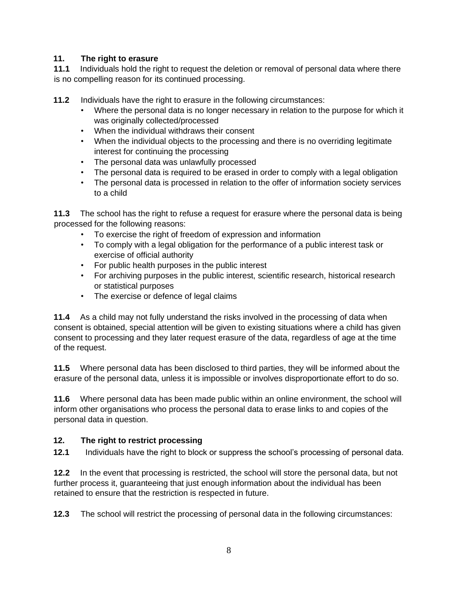#### **11. The right to erasure**

**11.1** Individuals hold the right to request the deletion or removal of personal data where there is no compelling reason for its continued processing.

**11.2** Individuals have the right to erasure in the following circumstances:

- Where the personal data is no longer necessary in relation to the purpose for which it was originally collected/processed
- When the individual withdraws their consent
- When the individual objects to the processing and there is no overriding legitimate interest for continuing the processing
- The personal data was unlawfully processed
- The personal data is required to be erased in order to comply with a legal obligation
- The personal data is processed in relation to the offer of information society services to a child

**11.3** The school has the right to refuse a request for erasure where the personal data is being processed for the following reasons:

- To exercise the right of freedom of expression and information
- To comply with a legal obligation for the performance of a public interest task or exercise of official authority
- For public health purposes in the public interest
- For archiving purposes in the public interest, scientific research, historical research or statistical purposes
- The exercise or defence of legal claims

**11.4** As a child may not fully understand the risks involved in the processing of data when consent is obtained, special attention will be given to existing situations where a child has given consent to processing and they later request erasure of the data, regardless of age at the time of the request.

**11.5** Where personal data has been disclosed to third parties, they will be informed about the erasure of the personal data, unless it is impossible or involves disproportionate effort to do so.

**11.6** Where personal data has been made public within an online environment, the school will inform other organisations who process the personal data to erase links to and copies of the personal data in question.

#### **12. The right to restrict processing**

**12.1** Individuals have the right to block or suppress the school's processing of personal data.

**12.2** In the event that processing is restricted, the school will store the personal data, but not further process it, guaranteeing that just enough information about the individual has been retained to ensure that the restriction is respected in future.

**12.3** The school will restrict the processing of personal data in the following circumstances: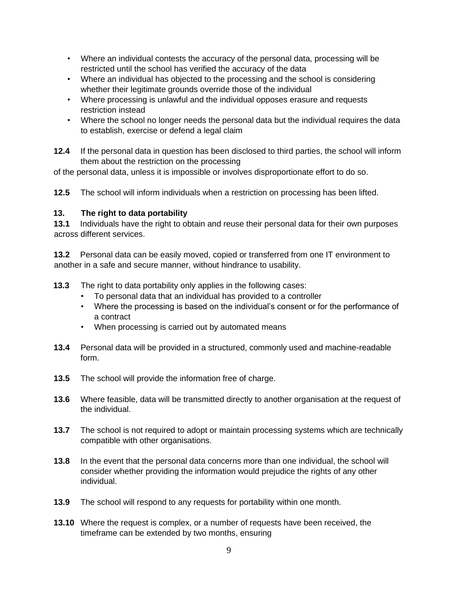- Where an individual contests the accuracy of the personal data, processing will be restricted until the school has verified the accuracy of the data
- Where an individual has objected to the processing and the school is considering whether their legitimate grounds override those of the individual
- Where processing is unlawful and the individual opposes erasure and requests restriction instead
- Where the school no longer needs the personal data but the individual requires the data to establish, exercise or defend a legal claim

**12.4** If the personal data in question has been disclosed to third parties, the school will inform them about the restriction on the processing

of the personal data, unless it is impossible or involves disproportionate effort to do so.

**12.5** The school will inform individuals when a restriction on processing has been lifted.

#### **13. The right to data portability**

**13.1** Individuals have the right to obtain and reuse their personal data for their own purposes across different services.

**13.2** Personal data can be easily moved, copied or transferred from one IT environment to another in a safe and secure manner, without hindrance to usability.

- **13.3** The right to data portability only applies in the following cases:
	- To personal data that an individual has provided to a controller
	- Where the processing is based on the individual's consent or for the performance of a contract
	- When processing is carried out by automated means
- **13.4** Personal data will be provided in a structured, commonly used and machine-readable form.
- **13.5** The school will provide the information free of charge.
- **13.6** Where feasible, data will be transmitted directly to another organisation at the request of the individual.
- **13.7** The school is not required to adopt or maintain processing systems which are technically compatible with other organisations.
- **13.8** In the event that the personal data concerns more than one individual, the school will consider whether providing the information would prejudice the rights of any other individual.
- **13.9** The school will respond to any requests for portability within one month.
- **13.10** Where the request is complex, or a number of requests have been received, the timeframe can be extended by two months, ensuring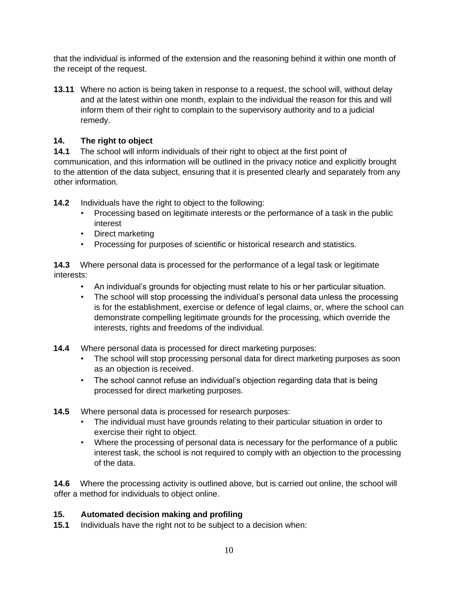that the individual is informed of the extension and the reasoning behind it within one month of the receipt of the request.

**13.11** Where no action is being taken in response to a request, the school will, without delay and at the latest within one month, explain to the individual the reason for this and will inform them of their right to complain to the supervisory authority and to a judicial remedy.

## **14. The right to object**

**14.1** The school will inform individuals of their right to object at the first point of communication, and this information will be outlined in the privacy notice and explicitly brought to the attention of the data subject, ensuring that it is presented clearly and separately from any other information.

**14.2** Individuals have the right to object to the following:

- Processing based on legitimate interests or the performance of a task in the public interest
- Direct marketing
- Processing for purposes of scientific or historical research and statistics.

**14.3** Where personal data is processed for the performance of a legal task or legitimate interests:

- An individual's grounds for objecting must relate to his or her particular situation.
- The school will stop processing the individual's personal data unless the processing is for the establishment, exercise or defence of legal claims, or, where the school can demonstrate compelling legitimate grounds for the processing, which override the interests, rights and freedoms of the individual.
- **14.4** Where personal data is processed for direct marketing purposes:
	- The school will stop processing personal data for direct marketing purposes as soon as an objection is received.
	- The school cannot refuse an individual's objection regarding data that is being processed for direct marketing purposes.
- **14.5** Where personal data is processed for research purposes:
	- The individual must have grounds relating to their particular situation in order to exercise their right to object.
	- Where the processing of personal data is necessary for the performance of a public interest task, the school is not required to comply with an objection to the processing of the data.

**14.6** Where the processing activity is outlined above, but is carried out online, the school will offer a method for individuals to object online.

#### **15. Automated decision making and profiling**

**15.1** Individuals have the right not to be subject to a decision when: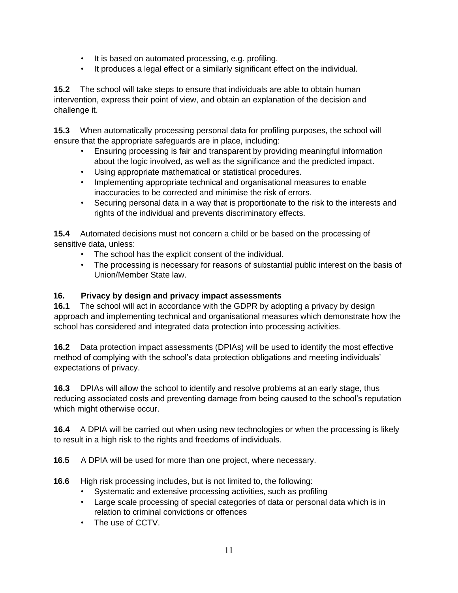- It is based on automated processing, e.g. profiling.
- It produces a legal effect or a similarly significant effect on the individual.

**15.2** The school will take steps to ensure that individuals are able to obtain human intervention, express their point of view, and obtain an explanation of the decision and challenge it.

**15.3** When automatically processing personal data for profiling purposes, the school will ensure that the appropriate safeguards are in place, including:

- Ensuring processing is fair and transparent by providing meaningful information about the logic involved, as well as the significance and the predicted impact.
- Using appropriate mathematical or statistical procedures.
- Implementing appropriate technical and organisational measures to enable inaccuracies to be corrected and minimise the risk of errors.
- Securing personal data in a way that is proportionate to the risk to the interests and rights of the individual and prevents discriminatory effects.

**15.4** Automated decisions must not concern a child or be based on the processing of sensitive data, unless:

- The school has the explicit consent of the individual.
- The processing is necessary for reasons of substantial public interest on the basis of Union/Member State law.

## **16. Privacy by design and privacy impact assessments**

**16.1** The school will act in accordance with the GDPR by adopting a privacy by design approach and implementing technical and organisational measures which demonstrate how the school has considered and integrated data protection into processing activities.

**16.2** Data protection impact assessments (DPIAs) will be used to identify the most effective method of complying with the school's data protection obligations and meeting individuals' expectations of privacy.

**16.3** DPIAs will allow the school to identify and resolve problems at an early stage, thus reducing associated costs and preventing damage from being caused to the school's reputation which might otherwise occur.

**16.4** A DPIA will be carried out when using new technologies or when the processing is likely to result in a high risk to the rights and freedoms of individuals.

**16.5** A DPIA will be used for more than one project, where necessary.

**16.6** High risk processing includes, but is not limited to, the following:

- Systematic and extensive processing activities, such as profiling
- Large scale processing of special categories of data or personal data which is in relation to criminal convictions or offences
- The use of CCTV.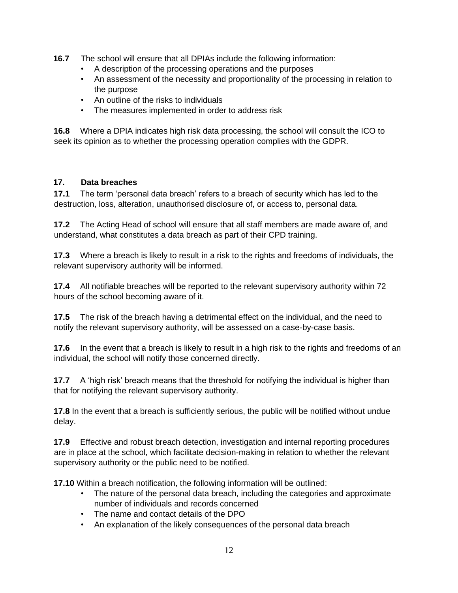- **16.7** The school will ensure that all DPIAs include the following information:
	- A description of the processing operations and the purposes
	- An assessment of the necessity and proportionality of the processing in relation to the purpose
	- An outline of the risks to individuals
	- The measures implemented in order to address risk

**16.8** Where a DPIA indicates high risk data processing, the school will consult the ICO to seek its opinion as to whether the processing operation complies with the GDPR.

## **17. Data breaches**

**17.1** The term 'personal data breach' refers to a breach of security which has led to the destruction, loss, alteration, unauthorised disclosure of, or access to, personal data.

**17.2** The Acting Head of school will ensure that all staff members are made aware of, and understand, what constitutes a data breach as part of their CPD training.

**17.3** Where a breach is likely to result in a risk to the rights and freedoms of individuals, the relevant supervisory authority will be informed.

**17.4** All notifiable breaches will be reported to the relevant supervisory authority within 72 hours of the school becoming aware of it.

**17.5** The risk of the breach having a detrimental effect on the individual, and the need to notify the relevant supervisory authority, will be assessed on a case-by-case basis.

**17.6** In the event that a breach is likely to result in a high risk to the rights and freedoms of an individual, the school will notify those concerned directly.

**17.7** A 'high risk' breach means that the threshold for notifying the individual is higher than that for notifying the relevant supervisory authority.

**17.8** In the event that a breach is sufficiently serious, the public will be notified without undue delay.

**17.9** Effective and robust breach detection, investigation and internal reporting procedures are in place at the school, which facilitate decision-making in relation to whether the relevant supervisory authority or the public need to be notified.

**17.10** Within a breach notification, the following information will be outlined:

- The nature of the personal data breach, including the categories and approximate number of individuals and records concerned
- The name and contact details of the DPO
- An explanation of the likely consequences of the personal data breach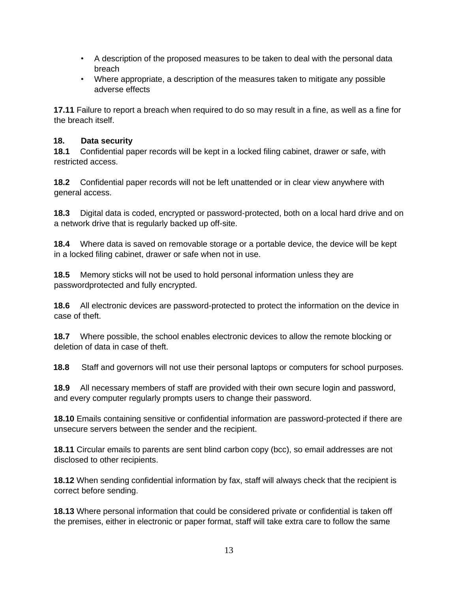- A description of the proposed measures to be taken to deal with the personal data breach
- Where appropriate, a description of the measures taken to mitigate any possible adverse effects

**17.11** Failure to report a breach when required to do so may result in a fine, as well as a fine for the breach itself.

#### **18. Data security**

**18.1** Confidential paper records will be kept in a locked filing cabinet, drawer or safe, with restricted access.

**18.2** Confidential paper records will not be left unattended or in clear view anywhere with general access.

**18.3** Digital data is coded, encrypted or password-protected, both on a local hard drive and on a network drive that is regularly backed up off-site.

**18.4** Where data is saved on removable storage or a portable device, the device will be kept in a locked filing cabinet, drawer or safe when not in use.

**18.5** Memory sticks will not be used to hold personal information unless they are passwordprotected and fully encrypted.

**18.6** All electronic devices are password-protected to protect the information on the device in case of theft.

**18.7** Where possible, the school enables electronic devices to allow the remote blocking or deletion of data in case of theft.

**18.8** Staff and governors will not use their personal laptops or computers for school purposes.

**18.9** All necessary members of staff are provided with their own secure login and password, and every computer regularly prompts users to change their password.

**18.10** Emails containing sensitive or confidential information are password-protected if there are unsecure servers between the sender and the recipient.

**18.11** Circular emails to parents are sent blind carbon copy (bcc), so email addresses are not disclosed to other recipients.

**18.12** When sending confidential information by fax, staff will always check that the recipient is correct before sending.

**18.13** Where personal information that could be considered private or confidential is taken off the premises, either in electronic or paper format, staff will take extra care to follow the same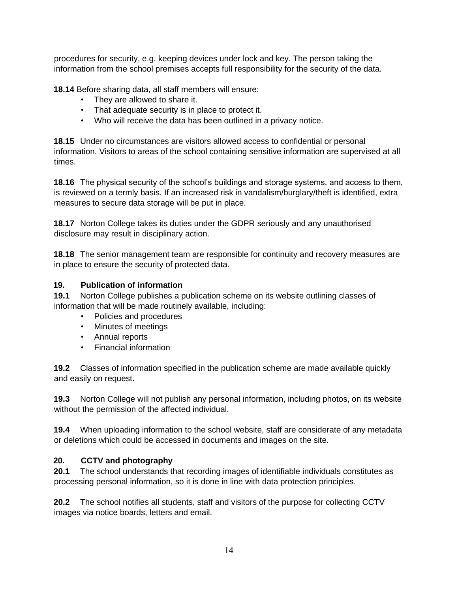procedures for security, e.g. keeping devices under lock and key. The person taking the information from the school premises accepts full responsibility for the security of the data.

**18.14** Before sharing data, all staff members will ensure:

- They are allowed to share it.
- That adequate security is in place to protect it.
- Who will receive the data has been outlined in a privacy notice.

**18.15** Under no circumstances are visitors allowed access to confidential or personal information. Visitors to areas of the school containing sensitive information are supervised at all times.

**18.16** The physical security of the school's buildings and storage systems, and access to them, is reviewed on a termly basis. If an increased risk in vandalism/burglary/theft is identified, extra measures to secure data storage will be put in place.

**18.17** Norton College takes its duties under the GDPR seriously and any unauthorised disclosure may result in disciplinary action.

**18.18** The senior management team are responsible for continuity and recovery measures are in place to ensure the security of protected data.

#### **19. Publication of information**

**19.1** Norton College publishes a publication scheme on its website outlining classes of information that will be made routinely available, including:

- Policies and procedures
- Minutes of meetings
- Annual reports
- Financial information

**19.2** Classes of information specified in the publication scheme are made available quickly and easily on request.

**19.3** Norton College will not publish any personal information, including photos, on its website without the permission of the affected individual.

**19.4** When uploading information to the school website, staff are considerate of any metadata or deletions which could be accessed in documents and images on the site.

## **20. CCTV and photography**

**20.1** The school understands that recording images of identifiable individuals constitutes as processing personal information, so it is done in line with data protection principles.

**20.2** The school notifies all students, staff and visitors of the purpose for collecting CCTV images via notice boards, letters and email.